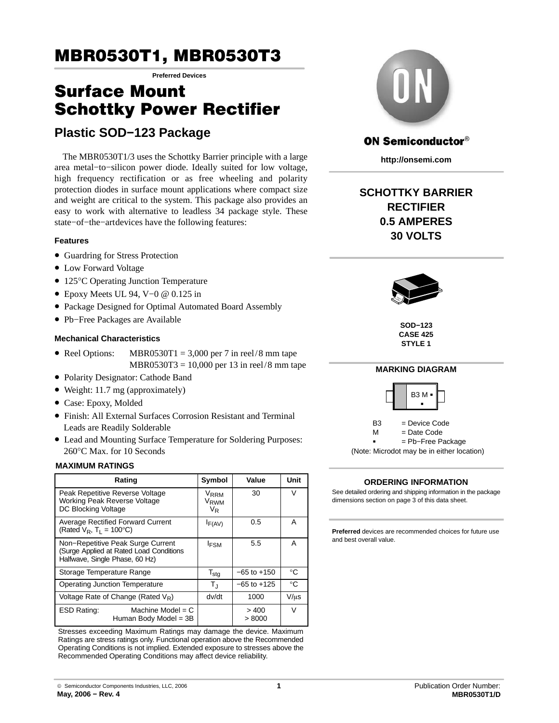# MBR0530T1, MBR0530T3

**Preferred Devices**

# Surface Mount Schottky Power Rectifier

# **Plastic SOD−123 Package**

The MBR0530T1/3 uses the Schottky Barrier principle with a large area metal−to−silicon power diode. Ideally suited for low voltage, high frequency rectification or as free wheeling and polarity protection diodes in surface mount applications where compact size and weight are critical to the system. This package also provides an easy to work with alternative to leadless 34 package style. These state–of–the–art devices have the following features:

### **Features**

- Guardring for Stress Protection
- Low Forward Voltage
- 125°C Operating Junction Temperature
- Epoxy Meets UL 94, V−0 @ 0.125 in
- Package Designed for Optimal Automated Board Assembly
- Pb−Free Packages are Available

### **Mechanical Characteristics**

- Reel Options: MBR0530T1 = 3,000 per 7 in reel/8 mm tape  $MBR0530T3 = 10,000$  per 13 in reel/8 mm tape
- Polarity Designator: Cathode Band
- Weight: 11.7 mg (approximately)
- Case: Epoxy, Molded
- Finish: All External Surfaces Corrosion Resistant and Terminal Leads are Readily Solderable
- Lead and Mounting Surface Temperature for Soldering Purposes: 260°C Max. for 10 Seconds

### **MAXIMUM RATINGS**

| Rating                                                                                                         | Symbol                                     | Value           | Unit        |
|----------------------------------------------------------------------------------------------------------------|--------------------------------------------|-----------------|-------------|
| Peak Repetitive Reverse Voltage<br><b>Working Peak Reverse Voltage</b><br><b>DC Blocking Voltage</b>           | <b>VRRM</b><br>V <sub>RWM</sub><br>$V_{R}$ | 30              | V           |
| <b>Average Rectified Forward Current</b><br>(Rated $V_R$ , T <sub>1</sub> = 100 $^{\circ}$ C)                  | $I_{F(AV)}$                                | 0.5             | A           |
| Non-Repetitive Peak Surge Current<br>(Surge Applied at Rated Load Conditions<br>Halfwave, Single Phase, 60 Hz) | <b>IFSM</b>                                | 5.5             | A           |
| Storage Temperature Range                                                                                      | $T_{\text{stg}}$                           | $-65$ to $+150$ | $^{\circ}C$ |
| <b>Operating Junction Temperature</b>                                                                          | $\mathsf{T}_{\text{J}}$                    | $-65$ to $+125$ | $^{\circ}C$ |
| Voltage Rate of Change (Rated $V_R$ )<br>dv/dt<br>1000                                                         |                                            | $V/\mu s$       |             |
| Machine Model = $C$<br><b>ESD Rating:</b><br>Human Body Model = 3B                                             |                                            | >400<br>> 8000  | $\vee$      |

Stresses exceeding Maximum Ratings may damage the device. Maximum Ratings are stress ratings only. Functional operation above the Recommended Operating Conditions is not implied. Extended exposure to stresses above the Recommended Operating Conditions may affect device reliability.



### **ON Semiconductor®**

**http://onsemi.com**

# **SCHOTTKY BARRIER RECTIFIER 0.5 AMPERES 30 VOLTS**



**SOD−123 CASE 425 STYLE 1**



(Note: Microdot may be in either location)

### **ORDERING INFORMATION**

See detailed ordering and shipping information in the package dimensions section on page [3 of this data sheet.](#page-2-0)

**Preferred** devices are recommended choices for future use and best overall value.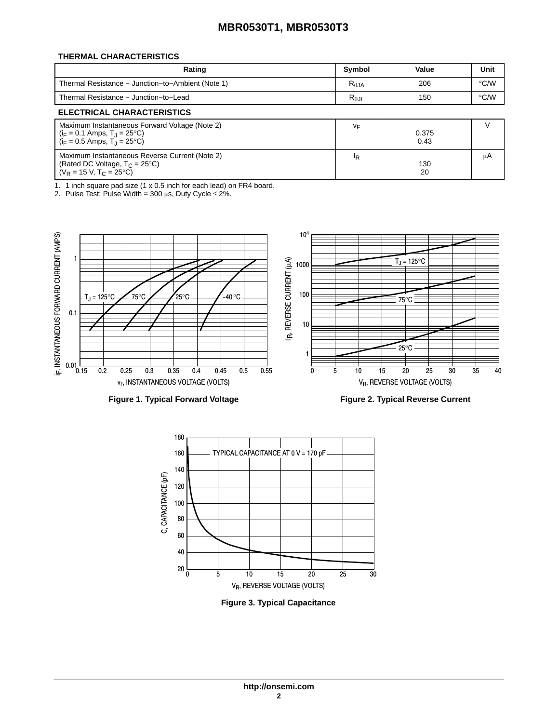## **MBR0530T1, MBR0530T3**

### **THERMAL CHARACTERISTICS**

| Rating                                            | Symbol          | Value | Unit          |
|---------------------------------------------------|-----------------|-------|---------------|
| Thermal Resistance – Junction–to–Ambient (Note 1) | $R_{\theta,JA}$ | 206   | $\degree$ C/W |
| Thermal Resistance - Junction-to-Lead             | $R_{\theta$ JL  | 150   | $\degree$ C/W |
| ELECTRICAL CUARACTERISTICS                        |                 |       |               |

#### **ELECTRICAL CHARACTERISTICS** Maximum Instantaneous Forward Voltage (Note 2)  $(i_F = 0.1 \text{ Amps}, T_J = 25^{\circ}\text{C})$  $(i_F = 0.5 \text{ Amps}, T_J = 25^{\circ}\text{C})$ vF 0.375 0.43 Maximum Instantaneous Reverse Current (Note 2) (Rated DC Voltage,  $T_{C}$  = 25°C) (V<sub>R</sub> = 15 V, T<sub>C</sub> = 25°C) IR 130 20

1. 1 inch square pad size (1 x 0.5 inch for each lead) on FR4 board.

2. Pulse Test: Pulse Width = 300  $\mu$ s, Duty Cycle ≤ 2%.



**Figure 1. Typical Forward Voltage**

**Figure 2. Typical Reverse Current**

V

μA



**Figure 3. Typical Capacitance**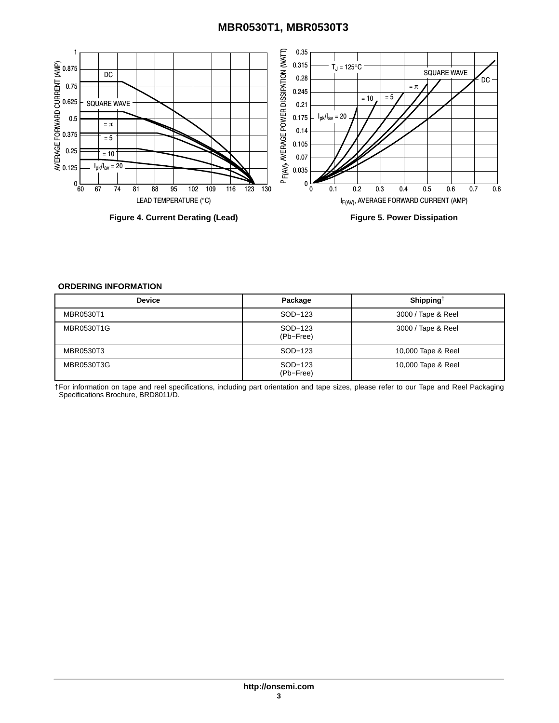## **MBR0530T1, MBR0530T3**

<span id="page-2-0"></span>

**Figure 4. Current Derating (Lead)**

**Figure 5. Power Dissipation**

### **ORDERING INFORMATION**

| <b>Device</b> | Package              | Shipping <sup>†</sup> |
|---------------|----------------------|-----------------------|
| MBR0530T1     | SOD-123              | 3000 / Tape & Reel    |
| MBR0530T1G    | SOD-123<br>(Pb-Free) | 3000 / Tape & Reel    |
| MBR0530T3     | SOD-123              | 10,000 Tape & Reel    |
| MBR0530T3G    | SOD-123<br>(Pb-Free) | 10,000 Tape & Reel    |

†For information on tape and reel specifications, including part orientation and tape sizes, please refer to our Tape and Reel Packaging Specifications Brochure, BRD8011/D.